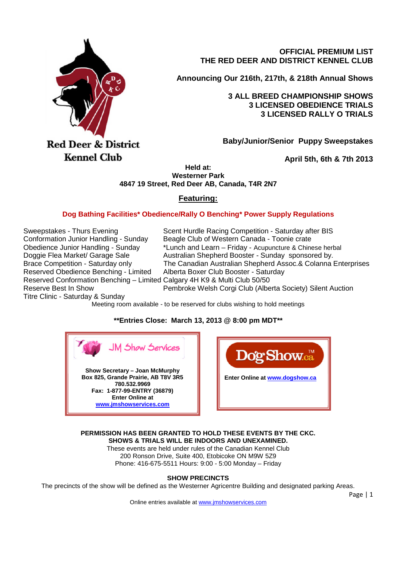

**OFFICIAL PREMIUM LIST THE RED DEER AND DISTRICT KENNEL CLUB**

**Announcing Our 216th, 217th, & 218th Annual Shows**

**3 ALL BREED CHAMPIONSHIP SHOWS 3 LICENSED OBEDIENCE TRIALS 3 LICENSED RALLY O TRIALS**

**Baby/Junior/Senior Puppy Sweepstakes**

**April 5th, 6th & 7th 2013**

**Held at: Westerner Park 4847 19 Street, Red Deer AB, Canada, T4R 2N7**

# **Featuring:**

# **Dog Bathing Facilities\* Obedience/Rally O Benching\* Power Supply Regulations**

Reserved Obedience Benching - Limited Alberta Boxer Club Booster - Saturday Reserved Conformation Benching – Limited Calgary 4H K9 & Multi Club 50/50

Sweepstakes - Thurs Evening Scent Hurdle Racing Competition - Saturday after BIS Conformation Junior Handling - Sunday Beagle Club of Western Canada - Toonie crate Obedience Junior Handling - Sunday \*Lunch and Learn – Friday - Acupuncture & Chinese herbal Doggie Flea Market/ Garage Sale Australian Shepherd Booster - Sunday sponsored by. Brace Competition - Saturday only The Canadian Australian Shepherd Assoc.& Colanna Enterprises Reserve Best In Show Pembroke Welsh Corgi Club (Alberta Society) Silent Auction

Titre Clinic - Saturday & Sunday

Meeting room available - to be reserved for clubs wishing to hold meetings

# **\*\*Entries Close: March 13, 2013 @ 8:00 pm MDT\*\***





**PERMISSION HAS BEEN GRANTED TO HOLD THESE EVENTS BY THE CKC. SHOWS & TRIALS WILL BE INDOORS AND UNEXAMINED.**

These events are held under rules of the Canadian Kennel Club 200 Ronson Drive, Suite 400, Etobicoke ON M9W 5Z9 Phone: 416-675-5511 Hours: 9:00 - 5:00 Monday – Friday

**SHOW PRECINCTS**

The precincts of the show will be defined as the Westerner Agricentre Building and designated parking Areas.

Online entries available at www.jmshowservices.com

Page | 1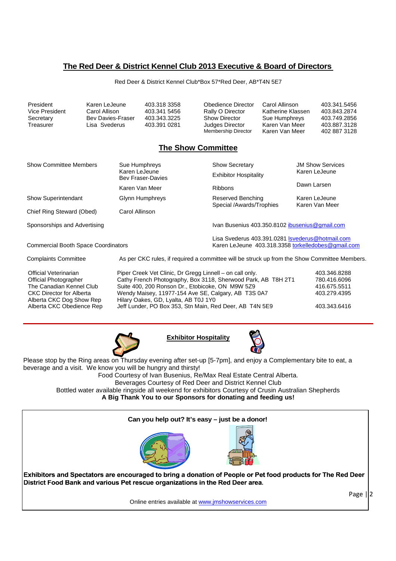# **The Red Deer & District Kennel Club 2013 Executive & Board of Directors**

Red Deer & District Kennel Club\*Box 57\*Red Deer, AB\*T4N 5E7

| President      | Karen LeJeune     | 403.318.3358 | Obedience Director   | Carol Allinson    | 403.341.5456 |
|----------------|-------------------|--------------|----------------------|-------------------|--------------|
| Vice President | Carol Allison     | 403.341.5456 | Rally O Director     | Katherine Klassen | 403.843.2874 |
| Secretary      | Bey Davies-Fraser | 403.343.3225 | <b>Show Director</b> | Sue Humphreys     | 403.749.2856 |
| Treasurer      | Lisa Svederus     | 403.391.0281 | Judges Director      | Karen Van Meer    | 403.887.3128 |
|                |                   |              | Membership Director  | Karen Van Meer    | 402 887 3128 |

# **The Show Committee**

| <b>Show Committee Members</b>                                                                                                                    | Sue Humphreys                                                                                                                                        | <b>Show Secretary</b>                                                                                                | <b>JM Show Services</b>                                      |  |
|--------------------------------------------------------------------------------------------------------------------------------------------------|------------------------------------------------------------------------------------------------------------------------------------------------------|----------------------------------------------------------------------------------------------------------------------|--------------------------------------------------------------|--|
|                                                                                                                                                  | Karen LeJeune<br><b>Bev Fraser-Davies</b>                                                                                                            | <b>Exhibitor Hospitality</b>                                                                                         | Karen LeJeune                                                |  |
|                                                                                                                                                  | Karen Van Meer                                                                                                                                       | Ribbons                                                                                                              | Dawn Larsen                                                  |  |
| <b>Show Superintendant</b>                                                                                                                       | Reserved Benching<br>Glynn Humphreys<br>Special /Awards/Trophies                                                                                     |                                                                                                                      | Karen LeJeune<br>Karen Van Meer                              |  |
| Chief Ring Steward (Obed)                                                                                                                        | Carol Allinson                                                                                                                                       |                                                                                                                      |                                                              |  |
| Sponsorships and Advertising                                                                                                                     |                                                                                                                                                      | Ivan Busenius 403.350.8102 ibusenius@gmail.com                                                                       |                                                              |  |
| <b>Commercial Booth Space Coordinators</b>                                                                                                       |                                                                                                                                                      | Lisa Svederus 403.391.0281 Isvederus@hotmail.com<br>Karen LeJeune 403.318.3358 torkelledobes@gmail.com               |                                                              |  |
| <b>Complaints Committee</b>                                                                                                                      |                                                                                                                                                      | As per CKC rules, if required a committee will be struck up from the Show Committee Members.                         |                                                              |  |
| Official Veterinarian<br><b>Official Photographer</b><br>The Canadian Kennel Club<br><b>CKC Director for Alberta</b><br>Alberta CKC Dog Show Rep | Piper Creek Vet Clinic, Dr Gregg Linnell – on call only.<br>Suite 400, 200 Ronson Dr., Etobicoke, ON M9W 5Z9<br>Hilary Oakes, GD, Lyalta, AB T0J 1Y0 | Cathy French Photography, Box 3118, Sherwood Park, AB T8H 2T1<br>Wendy Maisey, 11977-154 Ave SE, Calgary, AB T3S 0A7 | 403.346.8288<br>780.416.6096<br>416.675.5511<br>403.279.4395 |  |
| Alberta CKC Obedience Rep                                                                                                                        |                                                                                                                                                      | Jeff Lunder, PO Box 353, Stn Main, Red Deer, AB T4N 5E9                                                              | 403.343.6416                                                 |  |







Please stop by the Ring areas on Thursday evening after set-up [5-7pm], and enjoy a Complementary bite to eat, a beverage and a visit. We know you will be hungry and thirsty!

Food Courtesy of Ivan Busenius, Re/Max Real Estate Central Alberta.

Beverages Courtesy of Red Deer and District Kennel Club

Bottled water available ringside all weekend for exhibitors Courtesy of Crusin Australian Shepherds **A Big Thank You to our Sponsors for donating and feeding us!**



Online entries available at www.jmshowservices.com

Page  $||2$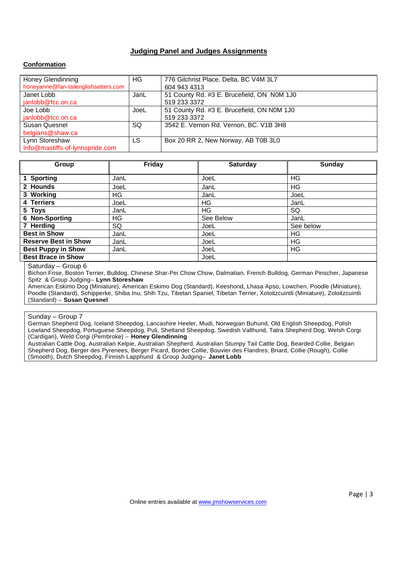# **Judging Panel and Judges Assignments**

# **Conformation**

| Honey Glendinning                    | HG.  | 776 Gilchrist Place, Delta, BC V4M 3L7     |
|--------------------------------------|------|--------------------------------------------|
| honeyanne@fan-tailenglishsetters.com |      | 604 943 4313                               |
| Janet Lobb                           | JanL | 51 County Rd. #3 E. Brucefield, ON N0M 1J0 |
| janlobb@fcc.on.ca                    |      | 519 233 3372                               |
| Joe Lobb                             | JoeL | 51 County Rd. #3 E. Brucefield, ON N0M 1J0 |
| janlobb@tcc.on.ca                    |      | 519 233 3372                               |
| Susan Quesnel                        | SQ   | 3542 E. Vernon Rd. Vernon, BC. V1B 3H8     |
| belgians@shaw.ca                     |      |                                            |
| Lynn Storeshaw                       | LS.  | Box 20 RR 2, New Norway, AB T0B 3L0        |
| Info@mastiffs-of-lynnspride.com      |      |                                            |

| Group                       | Friday | <b>Saturday</b> | <b>Sunday</b> |
|-----------------------------|--------|-----------------|---------------|
| 1 Sporting                  | JanL   | JoeL            | ΗG            |
| 2 Hounds                    | JoeL   | JanL            | ΗG            |
| 3 Working                   | HG     | JanL            | JoeL          |
| 4 Terriers                  | JoeL   | HG              | JanL          |
| 5 Toys                      | JanL   | HG              | SQ            |
| 6 Non-Sporting              | HG     | See Below       | JanL          |
| 7 Herding                   | SQ     | JoeL            | See below     |
| <b>Best in Show</b>         | JanL   | JoeL            | ΗG            |
| <b>Reserve Best in Show</b> | JanL   | JoeL            | ΗG            |
| <b>Best Puppy in Show</b>   | JanL   | JoeL            | ΗG            |
| <b>Best Brace in Show</b>   |        | JoeL            |               |

#### Saturday – Group 6

Bichon Frise, Boston Terrier, Bulldog, Chinese Shar-Pei Chow Chow, Dalmatian, French Bulldog, German Pinscher, Japanese Spitz & Group Judging– **Lynn Storeshaw**

American Eskimo Dog (Miniature), American Eskimo Dog (Standard), Keeshond, Lhasa Apso, Lowchen, Poodle (Miniature), Poodle (Standard), Schipperke, Shiba Inu, Shih Tzu, Tibetan Spaniel, Tibetan Terrier, Xoloitzcuintli (Miniature), Zoloitzcuintli (Standard) – **Susan Quesnel**

#### Sunday – Group 7

German Shepherd Dog, Iceland Sheepdog, Lancashire Heeler, Mudi, Norwegian Buhund, Old English Sheepdog, Polish Lowland Sheepdog, Portuguese Sheepdog, Puli, Shetland Sheepdog, Swedish Vallhund, Tatra Shepherd Dog, Welsh Corgi (Cardigan), Weld Corgi (Pembroke) – **Honey Glendinning**

Australian Cattle Dog, Australian Kelpie, Australian Shepherd, Australian Stumpy Tail Cattle Dog, Bearded Collie, Belgian Shepherd Dog, Berger des Pyrenees, Berger Picard, Border Collie, Bouvier des Flandres, Briard, Collie (Rough), Collie (Smooth), Dutch Sheepdog, Finnish Lapphund & Group Judging– **Janet Lobb**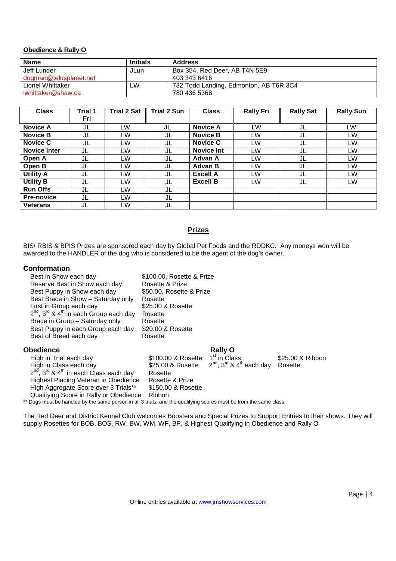# **Obedience & Rally O**

| <b>Name</b>            | <b>Initials</b> | <b>Address</b>                         |
|------------------------|-----------------|----------------------------------------|
| Jeff Lunder            | JLun            | Box 354, Red Deer, AB T4N 5E9          |
| dogman@telusplanet.net |                 | 403 343 6416                           |
| Lionel Whittaker       | _W              | 732 Todd Landing, Edmonton, AB T6R 3C4 |
| lwhittaker@shaw.ca     |                 | 780 436 5368                           |

| <b>Class</b>        | Trial 1 | <b>Trial 2 Sat</b> | <b>Trial 2 Sun</b> | <b>Class</b>      | <b>Rally Fri</b> | <b>Rally Sat</b> | <b>Rally Sun</b> |
|---------------------|---------|--------------------|--------------------|-------------------|------------------|------------------|------------------|
|                     | Fri     |                    |                    |                   |                  |                  |                  |
| <b>Novice A</b>     | JL      | LW                 | JL                 | <b>Novice A</b>   | LW               | JL               | LW               |
| <b>Novice B</b>     | JL      | LW                 | JL                 | <b>Novice B</b>   | LW               | JL               | <b>LW</b>        |
| <b>Novice C</b>     | JL      | LW                 | JL                 | <b>Novice C</b>   | LW               | JL               | LW               |
| <b>Novice Inter</b> | JL      | LW                 | JL                 | <b>Novice Int</b> | LW               | JL               | <b>LW</b>        |
| Open A              | JL      | LW                 | JL                 | Advan A           | LW               | JL               | LW               |
| Open B              | JL      | LW                 | JL                 | Advan B           | LW.              | JL               | <b>LW</b>        |
| <b>Utility A</b>    | JL      | LW                 | JL                 | <b>Excell A</b>   | LW               | JL               | LW               |
| <b>Utility B</b>    | JL      | LW                 | JL                 | <b>Excell B</b>   | LW               | JL               | LW               |
| <b>Run Offs</b>     | JL      | LW                 | JL                 |                   |                  |                  |                  |
| <b>Pre-novice</b>   | JL      | LW                 | JL                 |                   |                  |                  |                  |
| <b>Veterans</b>     | JL      | LW                 | JL                 |                   |                  |                  |                  |

# **Prizes**

BIS/ RBIS & BPIS Prizes are sponsored each day by Global Pet Foods and the RDDKC. Any moneys won will be awarded to the HANDLER of the dog who is considered to be the agent of the dog's owner.

# **Conformation**

| Best in Show each day                                                                                              | \$100.00, Rosette & Prize |                                                              |                  |
|--------------------------------------------------------------------------------------------------------------------|---------------------------|--------------------------------------------------------------|------------------|
| Reserve Best in Show each day                                                                                      | Rosette & Prize           |                                                              |                  |
| Best Puppy in Show each day                                                                                        | \$50.00, Rosette & Prize  |                                                              |                  |
| Best Brace in Show - Saturday only                                                                                 | Rosette                   |                                                              |                  |
| First in Group each day                                                                                            | \$25.00 & Rosette         |                                                              |                  |
| $2^{nd}$ , $3^{rd}$ & $4^{th}$ in each Group each day                                                              | Rosette                   |                                                              |                  |
| Brace in Group - Saturday only                                                                                     | Rosette                   |                                                              |                  |
| Best Puppy in each Group each day                                                                                  | \$20.00 & Rosette         |                                                              |                  |
| Best of Breed each day                                                                                             | Rosette                   |                                                              |                  |
| Obedience                                                                                                          |                           | <b>Rally O</b>                                               |                  |
| High in Trial each day                                                                                             | \$100.00 & Rosette        | 1 <sup>st</sup> in Class                                     | \$25,00 & Ribbon |
| High in Class each day                                                                                             | \$25.00 & Rosette         | $2^{\text{nd}}$ , 3 <sup>rd</sup> & 4 <sup>th</sup> each day | Rosette          |
| $2^{nd}$ , $3^{rd}$ & $4^{th}$ in each Class each day                                                              | Rosette                   |                                                              |                  |
| Highest Placing Veteran in Obedience                                                                               | Rosette & Prize           |                                                              |                  |
| High Aggregate Score over 3 Trials**                                                                               | \$150,00 & Rosette        |                                                              |                  |
| Qualifying Score in Rally or Obedience                                                                             | <b>Ribbon</b>             |                                                              |                  |
| ** Dogs must be handled by the same person in all 3 trials, and the qualifying scores must be from the same class. |                           |                                                              |                  |

The Red Deer and District Kennel Club welcomes Boosters and Special Prizes to Support Entries to their shows. They will supply Rosettes for BOB, BOS, RW, BW, WM, WF, BP, & Highest Qualifying in Obedience and Rally O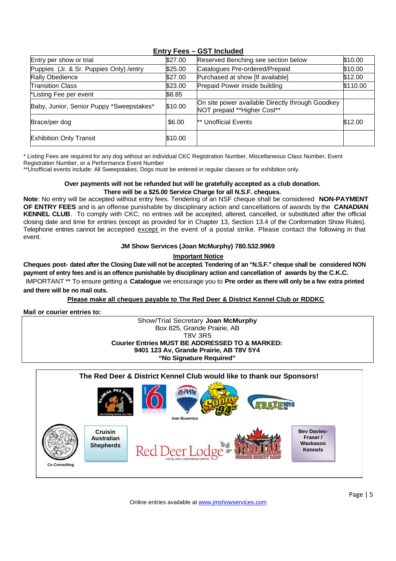| Entry per show or trial                  | \$27.00 | Reserved Benching see section below                                             | \$10.00  |
|------------------------------------------|---------|---------------------------------------------------------------------------------|----------|
| Puppies (Jr. & Sr. Puppies Only) / entry | \$25.00 | Catalogues Pre-ordered/Prepaid                                                  | \$10.00  |
| Rally Obedience                          | \$27.00 | Purchased at show [If available]                                                | \$12.00  |
| <b>Transition Class</b>                  | \$23.00 | Prepaid Power inside building                                                   | \$110.00 |
| *Listing Fee per event                   | \$8.85  |                                                                                 |          |
| Baby, Junior, Senior Puppy *Sweepstakes* | \$10.00 | On site power available Directly through Goodkey<br>NOT prepaid **Higher Cost** |          |
| Brace/per dog                            | \$6.00  | ** Unofficial Events                                                            | \$12.00  |
| <b>Exhibition Only Transit</b>           | \$10.00 |                                                                                 |          |

# **Entry Fees – GST Included**

\* Listing Fees are required for any dog without an individual CKC Registration Number, Miscellaneous Class Number, Event Registration Number, or a Performance Event Number

\*\*Unofficial events include: All Sweepstakes, Dogs must be entered in regular classes or for exhibition only.

# **Over payments will not be refunded but will be gratefully accepted as a club donation. There will be a \$25.00 Service Charge for all N.S.F. cheques.**

**Note**: No entry will be accepted without entry fees. Tendering of an NSF cheque shall be considered **NON-PAYMENT OF ENTRY FEES** and is an offense punishable by disciplinary action and cancellations of awards by the **CANADIAN KENNEL CLUB**. To comply with CKC, no entries will be accepted, altered, cancelled, or substituted after the official closing date and time for entries (except as provided for in Chapter 13, Section 13.4 of the Conformation Show Rules). Telephone entries cannot be accepted except in the event of a postal strike. Please contact the following in that event.

# **JM Show Services (Joan McMurphy) 780.532.9969**

**Important Notice**

**Cheques post- dated after the Closing Date will not be accepted. Tendering of an "N.S.F." cheque shall be considered NON payment of entry fees and is an offence punishable by disciplinary action and cancellation of awards by the C.K.C.**

IMPORTANT \*\* To ensure getting a **Catalogue** we encourage you to **Pre order as there will only be a few extra printed and there will be no mail outs.**

# **Please make all cheques payable to The Red Deer & District Kennel Club or RDDKC**

**Mail or courier entries to:**

#### Show/Trial Secretary **Joan McMurphy** Box 825, Grande Prairie, AB T8V 3R5 **Courier Entries MUST BE ADDRESSED TO & MARKED: 9401 123 Av, Grande Prairie, AB T8V 5Y4 "No Signature Required"**

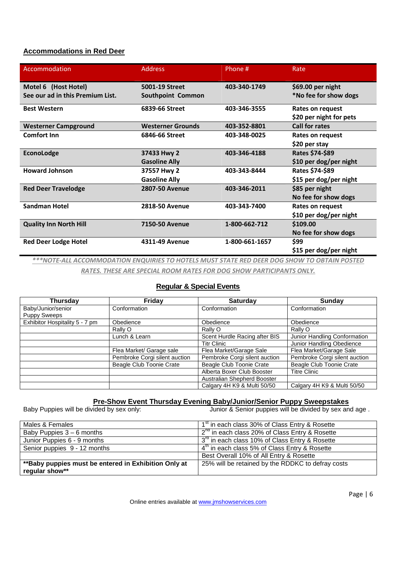# **Accommodations in Red Deer**

| Accommodation                    | <b>Address</b>           | Phone #        | Rate                    |
|----------------------------------|--------------------------|----------------|-------------------------|
| Motel 6 (Host Hotel)             | 5001-19 Street           | 403-340-1749   | \$69.00 per night       |
| See our ad in this Premium List. | Southpoint Common        |                | *No fee for show dogs   |
| <b>Best Western</b>              | 6839-66 Street           | 403-346-3555   | Rates on request        |
|                                  |                          |                | \$20 per night for pets |
| <b>Westerner Campground</b>      | <b>Westerner Grounds</b> | 403-352-8801   | <b>Call for rates</b>   |
| <b>Comfort Inn</b>               | 6846-66 Street           | 403-348-0025   | Rates on request        |
|                                  |                          |                | \$20 per stay           |
| EconoLodge                       | 37433 Hwy 2              | 403-346-4188   | Rates \$74-\$89         |
|                                  | <b>Gasoline Ally</b>     |                | \$10 per dog/per night  |
| <b>Howard Johnson</b>            | 37557 Hwy 2              | 403-343-8444   | Rates \$74-\$89         |
|                                  | <b>Gasoline Ally</b>     |                | \$15 per dog/per night  |
| <b>Red Deer Travelodge</b>       | <b>2807-50 Avenue</b>    | 403-346-2011   | \$85 per night          |
|                                  |                          |                | No fee for show dogs    |
| <b>Sandman Hotel</b>             | <b>2818-50 Avenue</b>    | 403-343-7400   | Rates on request        |
|                                  |                          |                | \$10 per dog/per night  |
| <b>Quality Inn North Hill</b>    | <b>7150-50 Avenue</b>    | 1-800-662-712  | \$109.00                |
|                                  |                          |                | No fee for show dogs    |
| <b>Red Deer Lodge Hotel</b>      | 4311-49 Avenue           | 1-800-661-1657 | \$99                    |
|                                  |                          |                | \$15 per dog/per night  |

*\*\*\*NOTE-ALL ACCOMMODATION ENQUIRIES TO HOTELS MUST STATE RED DEER DOG SHOW TO OBTAIN POSTED*

*RATES. THESE ARE SPECIAL ROOM RATES FOR DOG SHOW PARTICIPANTS ONLY.*

# **Regular & Special Events**

| Thursday                       | Friday                        | <b>Saturday</b>               | Sunday                        |
|--------------------------------|-------------------------------|-------------------------------|-------------------------------|
| Baby/Junior/senior             | Conformation                  | Conformation                  | Conformation                  |
| <b>Puppy Sweeps</b>            |                               |                               |                               |
| Exhibitor Hospitality 5 - 7 pm | Obedience                     | Obedience                     | Obedience                     |
|                                | Rally O                       | Rally O                       | Rally O                       |
|                                | Lunch & Learn                 | Scent Hurdle Racing after BIS | Junior Handling Conformation  |
|                                |                               | Titr Clinic                   | Junior Handling Obedience     |
|                                | Flea Market/ Garage sale      | Flea Market/Garage Sale       | Flea Market/Garage Sale       |
|                                | Pembroke Corgi silent auction | Pembroke Corgi silent auction | Pembroke Corgi silent auction |
|                                | Beagle Club Toonie Crate      | Beagle Club Toonie Crate      | Beagle Club Toonie Crate      |
|                                |                               | Alberta Boxer Club Booster    | <b>Titre Clinic</b>           |
|                                |                               | Australian Shepherd Booster   |                               |
|                                |                               | Calgary 4H K9 & Multi 50/50   | Calgary 4H K9 & Multi 50/50   |

# **Pre-Show Event Thursday Evening Baby/Junior/Senior Puppy Sweepstakes**<br>Junior & Senior puppies will be divided by sex an

Junior & Senior puppies will be divided by sex and age .

| Males & Females                                       | 1 <sup>st</sup> in each class 30% of Class Entry & Rosette |
|-------------------------------------------------------|------------------------------------------------------------|
| Baby Puppies $3-6$ months                             | 2 <sup>nd</sup> in each class 20% of Class Entry & Rosette |
| Junior Puppies 6 - 9 months                           | 3 <sup>rd</sup> in each class 10% of Class Entry & Rosette |
| Senior puppies 9 - 12 months                          | 4 <sup>th</sup> in each class 5% of Class Entry & Rosette  |
|                                                       | Best Overall 10% of All Entry & Rosette                    |
| ** Baby puppies must be entered in Exhibition Only at | 25% will be retained by the RDDKC to defray costs          |
| regular show**                                        |                                                            |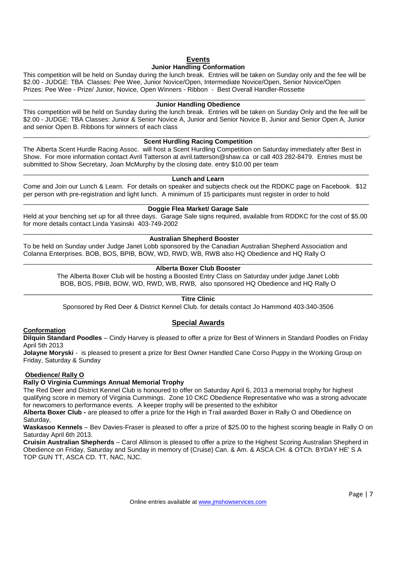# **Events**

# **Junior Handling Conformation**

This competition will be held on Sunday during the lunch break. Entries will be taken on Sunday only and the fee will be \$2.00 - JUDGE: TBA Classes: Pee Wee, Junior Novice/Open, Intermediate Novice/Open, Senior Novice/Open Prizes: Pee Wee - Prize/ Junior, Novice, Open Winners - Ribbon - Best Overall Handler-Rossette

\_\_\_\_\_\_\_\_\_\_\_\_\_\_\_\_\_\_\_\_\_\_\_\_\_\_\_\_\_\_\_\_\_\_\_\_\_\_\_\_\_\_\_\_\_\_\_\_\_\_\_\_\_\_\_\_\_\_\_\_\_\_\_\_\_\_\_\_\_\_\_\_\_\_\_\_\_\_\_\_\_\_\_\_\_\_\_\_\_\_\_\_\_\_\_

#### **Junior Handling Obedience**

This competition will be held on Sunday during the lunch break. Entries will be taken on Sunday Only and the fee will be \$2.00 - JUDGE: TBA Classes: Junior & Senior Novice A, Junior and Senior Novice B, Junior and Senior Open A, Junior and senior Open B. Ribbons for winners of each class

#### \_\_\_\_\_\_\_\_\_\_\_\_\_\_\_\_\_\_\_\_\_\_\_\_\_\_\_\_\_\_\_\_\_\_\_\_\_\_\_\_\_\_\_\_\_\_\_\_\_\_\_\_\_\_\_\_\_\_\_\_\_\_\_\_\_\_\_\_\_\_\_\_\_\_\_\_\_\_\_\_\_\_\_\_\_\_\_\_\_\_\_\_\_\_\_\_. **Scent Hurdling Racing Competition**

The Alberta Scent Hurdle Racing Assoc. will host a Scent Hurdling Competition on Saturday immediately after Best in Show. For more information contact Avril Tatterson at avril.tatterson@shaw.ca or call 403 282-8479. Entries must be submitted to Show Secretary, Joan McMurphy by the closing date. entry \$10.00 per team

#### \_\_\_\_\_\_\_\_\_\_\_\_\_\_\_\_\_\_\_\_\_\_\_\_\_\_\_\_\_\_\_\_\_\_\_\_\_\_\_\_\_\_\_\_\_\_\_\_\_\_\_\_\_\_\_\_\_\_\_\_\_\_\_\_\_\_\_\_\_\_\_\_\_\_\_\_\_\_\_\_\_\_\_\_\_\_\_\_\_\_\_\_\_\_\_\_ **Lunch and Learn**

Come and Join our Lunch & Learn. For details on speaker and subjects check out the RDDKC page on Facebook. \$12 per person with pre-registration and light lunch. A minimum of 15 participants must register in order to hold

#### \_\_\_\_\_\_\_\_\_\_\_\_\_\_\_\_\_\_\_\_\_\_\_\_\_\_\_\_\_\_\_\_\_\_\_\_\_\_\_\_\_\_\_\_\_\_\_\_\_\_\_\_\_\_\_\_\_\_\_\_\_\_\_\_\_\_\_\_\_\_\_\_\_\_\_\_\_\_\_\_\_\_\_\_\_\_\_\_\_\_\_\_\_\_\_\_ **Doggie Flea Market/ Garage Sale**

Held at your benching set up for all three days. Garage Sale signs required, available from RDDKC for the cost of \$5.00 for more details contact Linda Yasinski 403-749-2002

#### \_\_\_\_\_\_\_\_\_\_\_\_\_\_\_\_\_\_\_\_\_\_\_\_\_\_\_\_\_\_\_\_\_\_\_\_\_\_\_\_\_\_\_\_\_\_\_\_\_\_\_\_\_\_\_\_\_\_\_\_\_\_\_\_\_\_\_\_\_\_\_\_\_\_\_\_\_\_\_\_\_\_\_\_\_\_\_\_\_\_\_\_\_\_\_\_\_ **Australian Shepherd Booster**

To be held on Sunday under Judge Janet Lobb sponsored by the Canadian Australian Shepherd Association and Colanna Enterprises. BOB, BOS, BPIB, BOW, WD, RWD, WB, RWB also HQ Obedience and HQ Rally O

#### \_\_\_\_\_\_\_\_\_\_\_\_\_\_\_\_\_\_\_\_\_\_\_\_\_\_\_\_\_\_\_\_\_\_\_\_\_\_\_\_\_\_\_\_\_\_\_\_\_\_\_\_\_\_\_\_\_\_\_\_\_\_\_\_\_\_\_\_\_\_\_\_\_\_\_\_\_\_\_\_\_\_\_\_\_\_\_\_\_\_\_\_\_\_\_\_\_ **Alberta Boxer Club Booster**

The Alberta Boxer Club will be hosting a Boosted Entry Class on Saturday under judge Janet Lobb BOB, BOS, PBIB, BOW, WD, RWD, WB, RWB, also sponsored HQ Obedience and HQ Rally O

#### \_\_\_\_\_\_\_\_\_\_\_\_\_\_\_\_\_\_\_\_\_\_\_\_\_\_\_\_\_\_\_\_\_\_\_\_\_\_\_\_\_\_\_\_\_\_\_\_\_\_\_\_\_\_\_\_\_\_\_\_\_\_\_\_\_\_\_\_\_\_\_\_\_\_\_\_\_\_\_\_\_\_\_\_\_\_\_\_ **Titre Clinic**

Sponsored by Red Deer & District Kennel Club. for details contact Jo Hammond 403-340-3506

# **Special Awards**

# **Conformation**

**Dilquin Standard Poodles** – Cindy Harvey is pleased to offer a prize for Best of Winners in Standard Poodles on Friday April 5th 2013

**Jolayne Moryski** - is pleased to present a prize for Best Owner Handled Cane Corso Puppy in the Working Group on Friday, Saturday & Sunday

# **Obedience/ Rally O**

# **Rally O Virginia Cummings Annual Memorial Trophy**

The Red Deer and District Kennel Club is honoured to offer on Saturday April 6, 2013 a memorial trophy for highest qualifying score in memory of Virginia Cummings. Zone 10 CKC Obedience Representative who was a strong advocate for newcomers to performance events. A keeper trophy will be presented to the exhibitor

**Alberta Boxer Club -** are pleased to offer a prize for the High in Trail awarded Boxer in Rally O and Obedience on Saturday,

**Waskasoo Kennels** – Bev Davies-Fraser is pleased to offer a prize of \$25.00 to the highest scoring beagle in Rally O on Saturday April 6th 2013.

**Cruisin Australian Shepherds** – Carol Allinson is pleased to offer a prize to the Highest Scoring Australian Shepherd in Obedience on Friday, Saturday and Sunday in memory of (Cruise) Can. & Am. & ASCA CH. & OTCh. BYDAY HE' S A TOP GUN TT, ASCA CD. TT, NAC, NJC.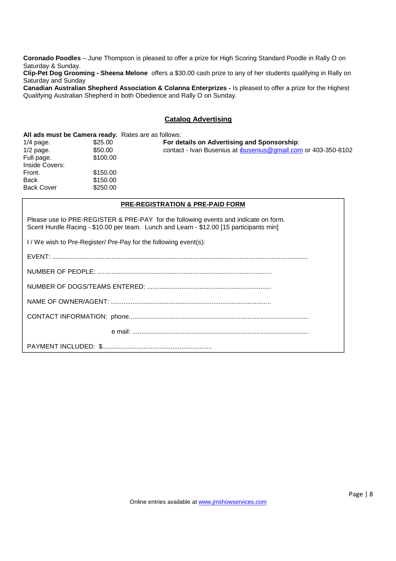**Coronado Poodles** – June Thompson is pleased to offer a prize for High Scoring Standard Poodle in Rally O on Saturday & Sunday.

**Clip-Pet Dog Grooming - Sheena Melone** offers a \$30.00 cash prize to any of her students qualifying in Rally on Saturday and Sunday

**Canadian Australian Shepherd Association & Colanna Enterprizes -** Is pleased to offer a prize for the Highest Qualifying Australian Shepherd in both Obedience and Rally O on Sunday.

# **Catalog Advertising**

#### **All ads must be Camera ready.** Rates are as follows:

1/4 page. \$25.00 **For details on Advertising and Sponsorship**: 1/2 page.  $$50.00$  contact - Ivan Busenius at <u>ibusenius@gmail.com</u> or 403-350-8102<br>Full page.  $$100.00$ Full page. Inside Covers: Front. \$150.00 Back \$150.00 Back Cover \$250.00

#### **PRE-REGISTRATION & PRE-PAID FORM**

Please use to PRE-REGISTER & PRE-PAY for the following events and indicate on form. Scent Hurdle Racing - \$10.00 per team. Lunch and Learn - \$12.00 [15 participants min]

I / We wish to Pre-Register/ Pre-Pay for the following event(s):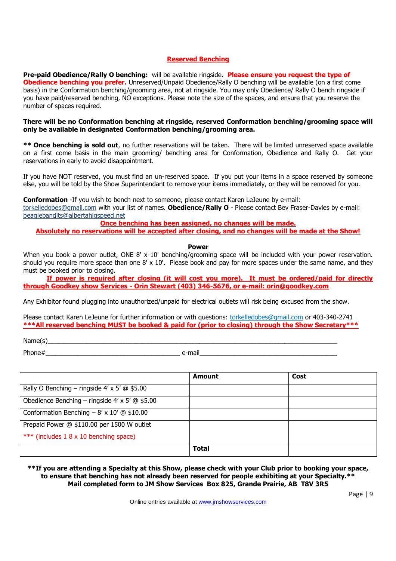# **Reserved Benching**

**Pre-paid Obedience/Rally O benching:** will be available ringside. **Please ensure you request the type of Obedience benching you prefer.** Unreserved/Unpaid Obedience/Rally O benching will be available (on a first come basis) in the Conformation benching/grooming area, not at ringside. You may only Obedience/ Rally O bench ringside if you have paid/reserved benching, NO exceptions. Please note the size of the spaces, and ensure that you reserve the number of spaces required.

# **There will be no Conformation benching at ringside, reserved Conformation benching/grooming space will only be available in designated Conformation benching/grooming area.**

**\*\* Once benching is sold out**, no further reservations will be taken. There will be limited unreserved space available on a first come basis in the main grooming/ benching area for Conformation, Obedience and Rally O. Get your reservations in early to avoid disappointment.

If you have NOT reserved, you must find an un-reserved space. If you put your items in a space reserved by someone else, you will be told by the Show Superintendant to remove your items immediately, or they will be removed for you.

**Conformation** -If you wish to bench next to someone, please contact Karen LeJeune by e-mail: torkelledobes@gmail.com with your list of names. **Obedience/Rally O** - Please contact Bev Fraser-Davies by e-mail: beaglebandits@albertahigspeed.net

**Once benching has been assigned, no changes will be made.**

**Absolutely no reservations will be accepted after closing, and no changes will be made at the Show!**

## **Power**

When you book a power outlet, ONE 8' x 10' benching/grooming space will be included with your power reservation. should you require more space than one 8' x 10'. Please book and pay for more spaces under the same name, and they must be booked prior to closing.

**If power is required after closing (it will cost you more). It must be ordered/paid for directly through Goodkey show Services - Orin Stewart (403) 346-5676, or e-mail: orin@goodkey.com**

Any Exhibitor found plugging into unauthorized/unpaid for electrical outlets will risk being excused from the show.

Please contact Karen LeJeune for further information or with questions: torkelledobes@gmail.com or 403-340-2741 **\*\*\*All reserved benching MUST be booked & paid for (prior to closing) through the Show Secretary\*\*\***

Name(s)\_\_\_\_\_\_\_\_\_\_\_\_\_\_\_\_\_\_\_\_\_\_\_\_\_\_\_\_\_\_\_\_\_\_\_\_\_\_\_\_\_\_\_\_\_\_\_\_\_\_\_\_\_\_\_\_\_\_\_\_\_\_\_\_\_\_\_\_\_\_\_\_\_\_\_\_\_\_\_\_\_\_

Phone#\_\_\_\_\_\_\_\_\_\_\_\_\_\_\_\_\_\_\_\_\_\_\_\_\_\_\_\_\_\_\_\_\_\_\_\_\_\_ e-mail\_\_\_\_\_\_\_\_\_\_\_\_\_\_\_\_\_\_\_\_\_\_\_\_\_\_\_\_\_\_\_\_\_\_\_\_\_\_\_

|                                                       | Amount       | Cost |
|-------------------------------------------------------|--------------|------|
| Rally O Benching – ringside $4' \times 5'$ @ \$5.00   |              |      |
| Obedience Benching – ringside $4' \times 5'$ @ \$5.00 |              |      |
| Conformation Benching $- 8' \times 10'$ @ \$10.00     |              |      |
| Prepaid Power @ \$110.00 per 1500 W outlet            |              |      |
| *** (includes 1 8 x 10 benching space)                |              |      |
|                                                       | <b>Total</b> |      |

# **\*\*If you are attending a Specialty at this Show, please check with your Club prior to booking your space, to ensure that benching has not already been reserved for people exhibiting at your Specialty.\*\* Mail completed form to JM Show Services Box 825, Grande Prairie, AB T8V 3R5**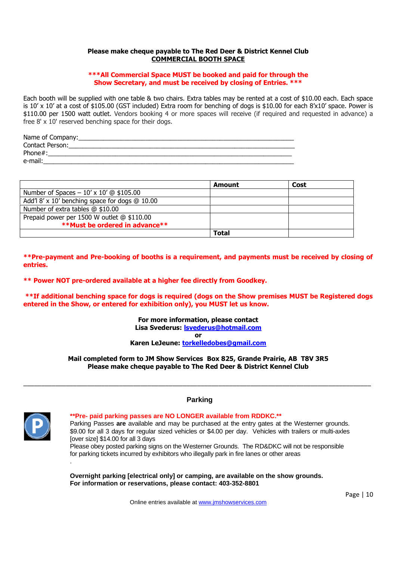# **Please make cheque payable to The Red Deer & District Kennel Club COMMERCIAL BOOTH SPACE**

# **\*\*\*All Commercial Space MUST be booked and paid for through the Show Secretary, and must be received by closing of Entries. \*\*\***

Each booth will be supplied with one table & two chairs. Extra tables may be rented at a cost of \$10.00 each. Each space is 10' x 10' at a cost of \$105.00 (GST included) Extra room for benching of dogs is \$10.00 for each 8'x10' space. Power is \$110.00 per 1500 watt outlet. Vendors booking 4 or more spaces will receive (if required and requested in advance) a free 8' x 10' reserved benching space for their dogs.

| Name of Company: |
|------------------|
| Contact Person:  |
| Phone#:          |
| e-mail:          |
|                  |

|                                                | Amount       | Cost |
|------------------------------------------------|--------------|------|
| Number of Spaces – $10' \times 10'$ @ \$105.00 |              |      |
| Add'l 8' x 10' benching space for dogs @ 10.00 |              |      |
| Number of extra tables $@$ \$10.00             |              |      |
| Prepaid power per 1500 W outlet @ \$110.00     |              |      |
| <b>**Must be ordered in advance**</b>          |              |      |
|                                                | <b>Total</b> |      |

**\*\*Pre-payment and Pre-booking of booths is a requirement, and payments must be received by closing of entries.**

**\*\* Power NOT pre-ordered available at a higher fee directly from Goodkey.**

**\*\*If additional benching space for dogs is required (dogs on the Show premises MUST be Registered dogs entered in the Show, or entered for exhibition only), you MUST let us know.**

> **For more information, please contact Lisa Svederus: lsvederus@hotmail.com**

**or**

**Karen LeJeune: torkelledobes@gmail.com**

**Mail completed form to JM Show Services Box 825, Grande Prairie, AB T8V 3R5 Please make cheque payable to The Red Deer & District Kennel Club**

\_\_\_\_\_\_\_\_\_\_\_\_\_\_\_\_\_\_\_\_\_\_\_\_\_\_\_\_\_\_\_\_\_\_\_\_\_\_\_\_\_\_\_\_\_\_\_\_\_\_\_\_\_\_\_\_\_\_\_\_\_\_\_\_\_\_\_\_\_\_\_\_\_\_\_\_\_\_\_\_\_\_\_\_\_\_\_\_\_\_\_\_\_\_\_\_\_\_



.

# **Parking**

**\*\*Pre- paid parking passes are NO LONGER available from RDDKC.\*\*** Parking Passes **are** available and may be purchased at the entry gates at the Westerner grounds. \$9.00 for all 3 days for regular sized vehicles or \$4.00 per day. Vehicles with trailers or multi-axles [over size] \$14.00 for all 3 days

Please obey posted parking signs on the Westerner Grounds. The RD&DKC will not be responsible for parking tickets incurred by exhibitors who illegally park in fire lanes or other areas

**Overnight parking [electrical only] or camping, are available on the show grounds. For information or reservations, please contact: 403-352-8801**

Online entries available at www.jmshowservices.com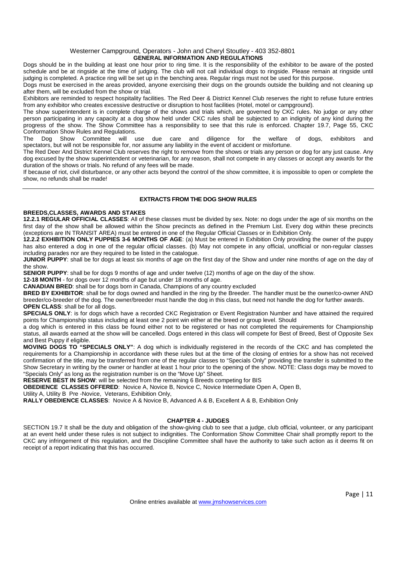#### Westerner Campground, Operators - John and Cheryl Stoutley - 403 352-8801 **GENERAL INFORMATION AND REGULATIONS**

Dogs should be in the building at least one hour prior to ring time. It is the responsibility of the exhibitor to be aware of the posted schedule and be at ringside at the time of judging. The club will not call individual dogs to ringside. Please remain at ringside until judging is completed. A practice ring will be set up in the benching area. Regular rings must not be used for this purpose.

Dogs must be exercised in the areas provided, anyone exercising their dogs on the grounds outside the building and not cleaning up after them, will be excluded from the show or trial.

Exhibitors are reminded to respect hospitality facilities. The Red Deer & District Kennel Club reserves the right to refuse future entries from any exhibitor who creates excessive destructive or disruption to host facilities (Hotel, motel or campground).

The show superintendent is in complete charge of the shows and trials which, are governed by CKC rules. No judge or any other person participating in any capacity at a dog show held under CKC rules shall be subjected to an indignity of any kind during the progress of the show. The Show Committee has a responsibility to see that this rule is enforced. Chapter 19.7, Page 55, CKC Conformation Show Rules and Regulations.

The Dog Show Committee will use due care and diligence for the welfare of dogs, exhibitors and spectators, but will not be responsible for, nor assume any liability in the event of accident or misfortune.

The Red Deer And District Kennel Club reserves the right to remove from the shows or trials any person or dog for any just cause. Any dog excused by the show superintendent or veterinarian, for any reason, shall not compete in any classes or accept any awards for the duration of the shows or trials. No refund of any fees will be made.

If because of riot, civil disturbance, or any other acts beyond the control of the show committee, it is impossible to open or complete the show, no refunds shall be made!

## **EXTRACTS FROM THE DOG SHOW RULES**

#### **BREEDS,CLASSES, AWARDS AND STAKES**

**12.2.1 REGULAR OFFICIAL CLASSES**: All of these classes must be divided by sex. Note: no dogs under the age of six months on the first day of the show shall be allowed within the Show precincts as defined in the Premium List. Every dog within these precincts (exceptions are IN TRANSIT AREA) must be entered in one of the Regular Official Classes or in Exhibition Only.

**12.2.2 EXHIBITION ONLY PUPPIES 3-6 MONTHS OF AGE**: (a) Must be entered in Exhibition Only providing the owner of the puppy has also entered a dog in one of the regular official classes. (b) May not compete in any official, unofficial or non-regular classes including parades nor are they required to be listed in the catalogue.

**JUNIOR PUPPY**: shall be for dogs at least six months of age on the first day of the Show and under nine months of age on the day of the show.

**SENIOR PUPPY**: shall be for dogs 9 months of age and under twelve (12) months of age on the day of the show.

**12-18 MONTH** - for dogs over 12 months of age but under 18 months of age.

**CANADIAN BRED**: shall be for dogs born in Canada, Champions of any country excluded

**BRED BY EXHIBITOR**: shall be for dogs owned and handled in the ring by the Breeder. The handler must be the owner/co-owner AND breeder/co-breeder of the dog. The owner/breeder must handle the dog in this class, but need not handle the dog for further awards. **OPEN CLASS:** shall be for all dogs.

**SPECIALS ONLY**: is for dogs which have a recorded CKC Registration or Event Registration Number and have attained the required points for Championship status including at least one 2 point win either at the breed or group level. Should

a dog which is entered in this class be found either not to be registered or has not completed the requirements for Championship status, all awards earned at the show will be cancelled. Dogs entered in this class will compete for Best of Breed, Best of Opposite Sex and Best Puppy if eligible.

**MOVING DOGS TO "SPECIALS ONLY"**: A dog which is individually registered in the records of the CKC and has completed the requirements for a Championship in accordance with these rules but at the time of the closing of entries for a show has not received confirmation of the title, may be transferred from one of the regular classes to "Specials Only" providing the transfer is submitted to the Show Secretary in writing by the owner or handler at least 1 hour prior to the opening of the show. NOTE: Class dogs may be moved to "Specials Only" as long as the registration number is on the "Move Up" Sheet.

RESERVE BEST IN SHOW: will be selected from the remaining 6 Breeds competing for BIS

**OBEDIENCE CLASSES OFFERED:** Novice A, Novice B, Novice C, Novice Intermediate Open A, Open B,

Utility A, Utility B Pre -Novice, Veterans, Exhibition Only,

**RALLY OBEDIENCE CLASSES**: Novice A & Novice B, Advanced A & B, Excellent A & B, Exhibition Only

## **CHAPTER 4 - JUDGES**

SECTION 19.7 It shall be the duty and obligation of the show-giving club to see that a judge, club official, volunteer, or any participant at an event held under these rules is not subject to indignities. The Conformation Show Committee Chair shall promptly report to the CKC any infringement of this regulation, and the Discipline Committee shall have the authority to take such action as it deems fit on receipt of a report indicating that this has occurred.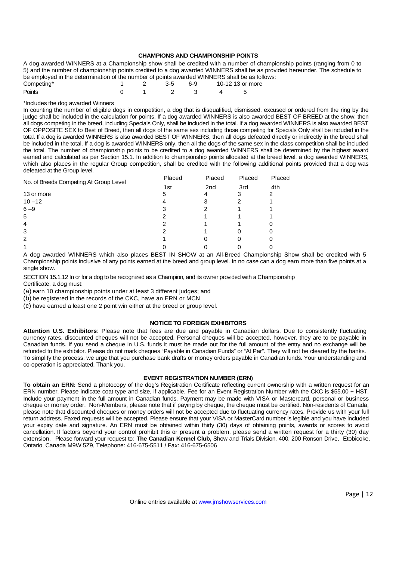#### **CHAMPIONS AND CHAMPIONSHIP POINTS**

A dog awarded WINNERS at a Championship show shall be credited with a number of championship points (ranging from 0 to 5) and the number of championship points credited to a dog awarded WINNERS shall be as provided hereunder. The schedule to be employed in the determination of the number of points awarded WINNERS shall be as follows:

| Competing* |  | 1 2 3-5 6-9 10-12 13 or more |  |
|------------|--|------------------------------|--|
| Points     |  | 0 1 2 3 4 5                  |  |

#### \*Includes the dog awarded Winners

In counting the number of eligible dogs in competition, a dog that is disqualified, dismissed, excused or ordered from the ring by the judge shall be included in the calculation for points. If a dog awarded WINNERS is also awarded BEST OF BREED at the show, then all dogs competing in the breed, including Specials Only, shall be included in the total. If a dog awarded WINNERS is also awarded BEST OF OPPOSITE SEX to Best of Breed, then all dogs of the same sex including those competing for Specials Only shall be included in the total. If a dog is awarded WINNERS is also awarded BEST OF WINNERS, then all dogs defeated directly or indirectly in the breed shall be included in the total. If a dog is awarded WINNERS only, then all the dogs of the same sex in the class competition shall be included the total. The number of championship points to be credited to a dog awarded WINNERS shall be determined by the highest award earned and calculated as per Section 15.1. In addition to championship points allocated at the breed level, a dog awarded WINNERS, which also places in the regular Group competition, shall be credited with the following additional points provided that a dog was defeated at the Group level.

| No. of Breeds Competing At Group Level | Placed | Placed          | Placed | Placed |
|----------------------------------------|--------|-----------------|--------|--------|
|                                        | 1st    | 2 <sub>nd</sub> | 3rd    | 4th    |
| 13 or more                             | 5      | 4               |        |        |
| $10 - 12$                              |        |                 |        |        |
| $6 - 9$                                |        |                 |        |        |
| 5                                      |        |                 |        |        |
| 4                                      |        |                 |        |        |
| 3                                      |        |                 |        |        |
| $\overline{2}$                         |        |                 |        |        |
|                                        |        |                 |        |        |

A dog awarded WINNERS which also places BEST IN SHOW at an All-Breed Championship Show shall be credited with 5 Championship points inclusive of any points earned at the breed and group level. In no case can a dog earn more than five points at a single show.

SECTION 15.1.12 In or for a dog to be recognized as a Champion, and its owner provided with a Championship Certificate, a dog must:

(a) earn 10 championship points under at least 3 different judges; and

(b) be registered in the records of the CKC, have an ERN or MCN

(c) have earned a least one 2 point win either at the breed or group level.

#### **NOTICE TO FOREIGN EXHIBITORS**

**Attention U.S. Exhibitors**: Please note that fees are due and payable in Canadian dollars. Due to consistently fluctuating currency rates, discounted cheques will not be accepted. Personal cheques will be accepted, however, they are to be payable in Canadian funds. If you send a cheque in U.S. funds it must be made out for the full amount of the entry and no exchange will be refunded to the exhibitor. Please do not mark cheques "Payable in Canadian Funds" or "At Par". They will not be cleared by the banks. To simplify the process, we urge that you purchase bank drafts or money orders payable in Canadian funds. Your understanding and co-operation is appreciated. Thank you.

#### **EVENT REGISTRATION NUMBER (ERN)**

**To obtain an ERN:** Send a photocopy of the dog's Registration Certificate reflecting current ownership with a written request for an ERN number. Please indicate coat type and size, if applicable. Fee for an Event Registration Number with the CKC is \$55.00 + HST. Include your payment in the full amount in Canadian funds. Payment may be made with VISA or Mastercard, personal or business cheque or money order. Non-Members, please note that if paying by cheque, the cheque must be certified. Non-residents of Canada, please note that discounted cheques or money orders will not be accepted due to fluctuating currency rates. Provide us with your full return address. Faxed requests will be accepted. Please ensure that your VISA or MasterCard number is legible and you have included your expiry date and signature. An ERN must be obtained within thirty (30) days of obtaining points, awards or scores to avoid cancellation. If factors beyond your control prohibit this or present a problem, please send a written request for a thirty (30) day extension. Please forward your request to: **The Canadian Kennel Club,** Show and Trials Division, 400, 200 Ronson Drive, Etobicoke, Ontario, Canada M9W 5Z9, Telephone: 416-675-5511 / Fax: 416-675-6506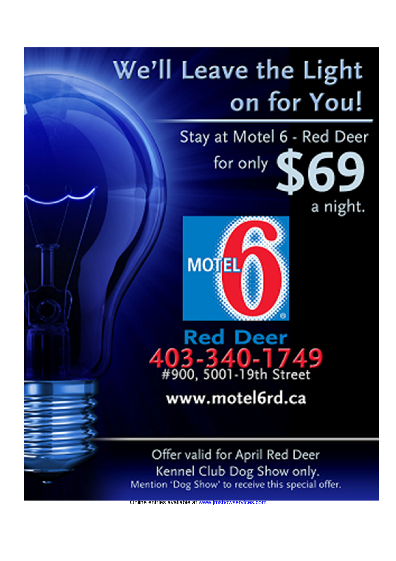# We'll Leave the Light on for You!

# Stay at Motel 6 - Red Deer for only \$69

a night.



Red Deer 03-340-1749<br>#900, 5001-19th Street

www.motel6rd.ca

Offer valid for April Red Deer Kennel Club Dog Show only.<br>Mention 'Dog Show' to receive this special offer.

Online entries available at www.jmsh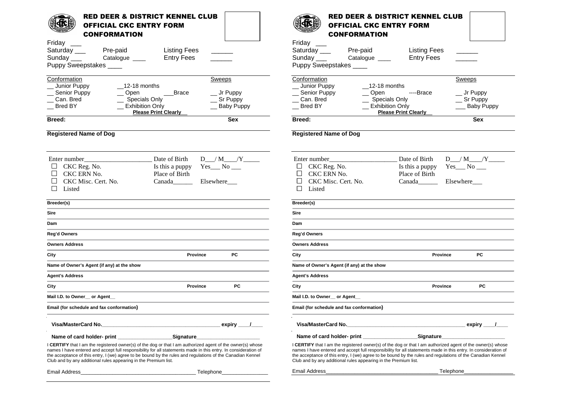| <b>RED DEER &amp; DISTRICT KENNEL CLUB</b><br><b>OFFICIAL CKC ENTRY FORM</b><br><b>CONFORMATION</b>                                                                                                                                                                                                                                                                                                                | <b>RED DEER &amp; DISTRICT KENNEL CLUB</b><br><b>OFFICIAL CKC ENTRY FORM</b><br><b>CONFORMATION</b>                                                                                                                                                                                                                                                                                                                  |
|--------------------------------------------------------------------------------------------------------------------------------------------------------------------------------------------------------------------------------------------------------------------------------------------------------------------------------------------------------------------------------------------------------------------|----------------------------------------------------------------------------------------------------------------------------------------------------------------------------------------------------------------------------------------------------------------------------------------------------------------------------------------------------------------------------------------------------------------------|
| Friday<br>Saturday ___<br>Pre-paid<br><b>Listing Fees</b><br><b>Entry Fees</b><br>Sunday<br>Catalogue ____<br>Puppy Sweepstakes                                                                                                                                                                                                                                                                                    | Friday __<br>Saturday ___<br>Pre-paid<br><b>Listing Fees</b><br><b>Entry Fees</b><br>Sunday $\_\_\_\_\$<br>Catalogue ____<br>Puppy Sweepstakes                                                                                                                                                                                                                                                                       |
| Conformation<br>Sweeps<br>$\_12-18$ months<br>Junior Puppy<br>Senior Puppy<br>Open<br><b>Brace</b><br>_ Jr Puppy<br>Can. Bred<br><b>Specials Only</b><br>$\equiv$ Sr Puppy<br><b>Exhibition Only</b><br><b>Bred BY</b><br><b>Baby Puppy</b><br><b>Please Print Clearly</b>                                                                                                                                         | Conformation<br>Sweeps<br>Junior Puppy<br>$\_12-18$ months<br>Senior Puppy<br>$\sim$ Open<br>----Brace<br>_ Jr Puppy<br>Can. Bred<br><b>Specials Only</b><br>$\equiv$ Sr Puppy<br>Exhibition Only<br>Bred BY<br><b>Baby Puppy</b><br><b>Please Print Clearly</b>                                                                                                                                                     |
| <b>Sex</b><br>Breed:                                                                                                                                                                                                                                                                                                                                                                                               | <b>Sex</b><br>Breed:                                                                                                                                                                                                                                                                                                                                                                                                 |
| <b>Registered Name of Dog</b>                                                                                                                                                                                                                                                                                                                                                                                      | <b>Registered Name of Dog</b>                                                                                                                                                                                                                                                                                                                                                                                        |
| Date of Birth<br>Enter number<br>$Yes$ <sub>__</sub> No __<br>CKC Reg. No.<br>Is this a puppy<br>CKC ERN No.<br>Place of Birth<br>CKC Misc. Cert. No.<br>Canada<br>Elsewhere<br>П<br>Listed                                                                                                                                                                                                                        | Date of Birth<br>Enter number<br>$D_{1}/M_{2}/Y_{3}$<br>$Yes$ <sub>__</sub> No __<br>$\Box$<br>CKC Reg. No.<br>Is this a puppy<br>CKC ERN No.<br>$\mathcal{L}$<br>Place of Birth<br>CKC Misc. Cert. No.<br>$\Box$<br>Canada<br>Elsewhere<br>П<br>Listed                                                                                                                                                              |
| Breeder(s)                                                                                                                                                                                                                                                                                                                                                                                                         | Breeder(s)                                                                                                                                                                                                                                                                                                                                                                                                           |
| <b>Sire</b>                                                                                                                                                                                                                                                                                                                                                                                                        | <b>Sire</b>                                                                                                                                                                                                                                                                                                                                                                                                          |
| Dam                                                                                                                                                                                                                                                                                                                                                                                                                | Dam                                                                                                                                                                                                                                                                                                                                                                                                                  |
| Reg'd Owners                                                                                                                                                                                                                                                                                                                                                                                                       | Reg'd Owners                                                                                                                                                                                                                                                                                                                                                                                                         |
| <b>Owners Address</b>                                                                                                                                                                                                                                                                                                                                                                                              | <b>Owners Address</b>                                                                                                                                                                                                                                                                                                                                                                                                |
| PC<br>Province<br>City                                                                                                                                                                                                                                                                                                                                                                                             | РC<br>City<br><b>Province</b>                                                                                                                                                                                                                                                                                                                                                                                        |
| Name of Owner's Agent (if any) at the show                                                                                                                                                                                                                                                                                                                                                                         | Name of Owner's Agent (if any) at the show                                                                                                                                                                                                                                                                                                                                                                           |
| <b>Agent's Address</b>                                                                                                                                                                                                                                                                                                                                                                                             | <b>Agent's Address</b>                                                                                                                                                                                                                                                                                                                                                                                               |
| PC<br>City<br>Province                                                                                                                                                                                                                                                                                                                                                                                             | PC<br>City<br><b>Province</b>                                                                                                                                                                                                                                                                                                                                                                                        |
| Mail I.D. to Owner __ or Agent_                                                                                                                                                                                                                                                                                                                                                                                    | Mail I.D. to Owner_ or Agent_                                                                                                                                                                                                                                                                                                                                                                                        |
| Email (for schedule and fax conformation)                                                                                                                                                                                                                                                                                                                                                                          | Email (for schedule and fax conformation)                                                                                                                                                                                                                                                                                                                                                                            |
| Visa/MasterCard No.                                                                                                                                                                                                                                                                                                                                                                                                |                                                                                                                                                                                                                                                                                                                                                                                                                      |
| Name of card holder- print _____________<br>Signature <b>________________</b>                                                                                                                                                                                                                                                                                                                                      | _Signature_______________<br>Name of card holder- print ____________                                                                                                                                                                                                                                                                                                                                                 |
| <b>CERTIFY</b> that I am the registered owner(s) of the dog or that I am authorized agent of the owner(s) whose<br>names I have entered and accept full responsibility for all statements made in this entry. In consideration of<br>the acceptance of this entry, I (we) agree to be bound by the rules and regulations of the Canadian Kennel<br>Club and by any additional rules appearing in the Premium list. | <b>I CERTIFY</b> that I am the registered owner(s) of the dog or that I am authorized agent of the owner(s) whose<br>names I have entered and accept full responsibility for all statements made in this entry. In consideration of<br>the acceptance of this entry, I (we) agree to be bound by the rules and regulations of the Canadian Kennel<br>Club and by any additional rules appearing in the Premium list. |
| Email Address <b>Email</b><br>Telephone_                                                                                                                                                                                                                                                                                                                                                                           | Email Address_<br>Telephone_                                                                                                                                                                                                                                                                                                                                                                                         |